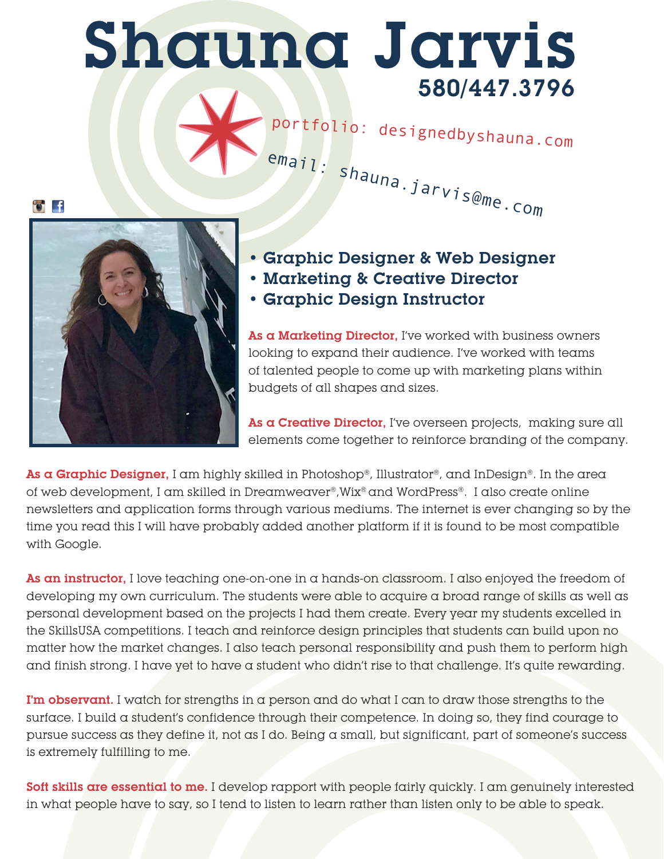## Shauna Jarvis 580/447.3796

portfolio: designedbyshauna.com email: shauna.jarvis@me.com



• Graphic Designer & Web Designer

- Marketing & Creative Director
- Graphic Design Instructor

As a Marketing Director, I've worked with business owners looking to expand their audience. I've worked with teams of talented people to come up with marketing plans within budgets of all shapes and sizes.

As a Creative Director, I've overseen projects, making sure all elements come together to reinforce branding of the company.

As a Graphic Designer, I am highly skilled in Photoshop®, Illustrator®, and InDesign®. In the area of web development, I am skilled in Dreamweaver®,Wix® and WordPress®. I also create online newsletters and application forms through various mediums. The internet is ever changing so by the time you read this I will have probably added another platform if it is found to be most compatible with Google.

As an instructor, I love teaching one-on-one in a hands-on classroom. I also enjoyed the freedom of developing my own curriculum. The students were able to acquire a broad range of skills as well as personal development based on the projects I had them create. Every year my students excelled in the SkillsUSA competitions. I teach and reinforce design principles that students can build upon no matter how the market changes. I also teach personal responsibility and push them to perform high and finish strong. I have yet to have a student who didn't rise to that challenge. It's quite rewarding.

I'm observant. I watch for strengths in a person and do what I can to draw those strengths to the surface. I build a student's confidence through their competence. In doing so, they find courage to pursue success as they define it, not as I do. Being a small, but significant, part of someone's success is extremely fulfilling to me.

Soft skills are essential to me. I develop rapport with people fairly quickly. I am genuinely interested in what people have to say, so I tend to listen to learn rather than listen only to be able to speak.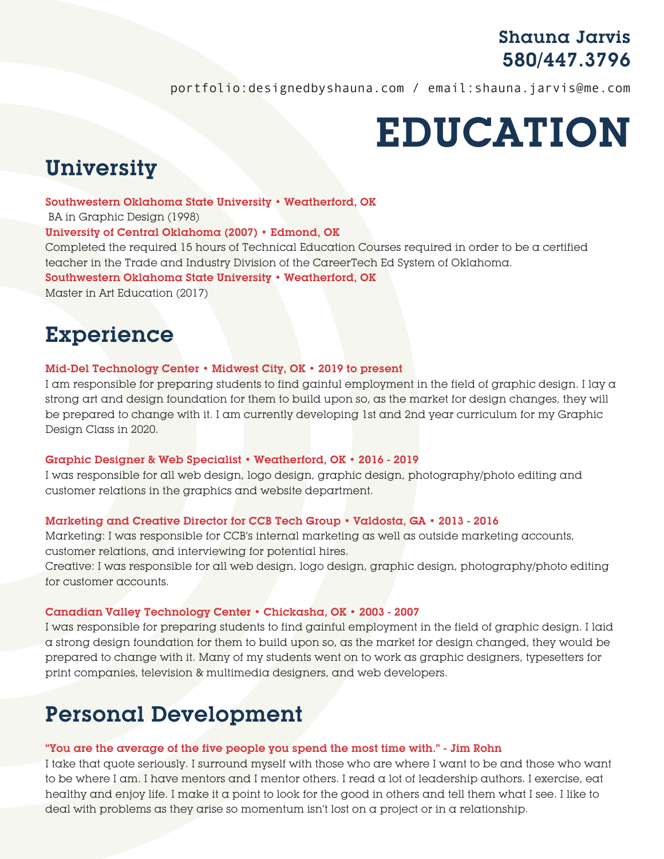### Shauna Jarvis 580/447.3796

portfolio:designedbyshauna.com / email:shauna.jarvis@me.com

# EDUCATION

## **University**

### Southwestern Oklahoma State University • Weatherford, OK

BA in Graphic Design (1998)

### University of Central Oklahoma (2007) • Edmond, OK

Completed the required 15 hours of Technical Education Courses required in order to be a certified teacher in the Trade and Industry Division of the CareerTech Ed System of Oklahoma. Southwestern Oklahoma State University • Weatherford, OK Master in Art Education (2017)

### Experience

### Mid-Del Technology Center • Midwest City, OK • 2019 to present

I am responsible for preparing students to find gainful employment in the field of graphic design. I lay a strong art and design foundation for them to build upon so, as the market for design changes, they will be prepared to change with it. I am currently developing 1st and 2nd year curriculum for my Graphic Design Class in 2020.

#### Graphic Designer & Web Specialist • Weatherford, OK • 2016 - 2019

I was responsible for all web design, logo design, graphic design, photography/photo editing and customer relations in the graphics and website department.

### Marketing and Creative Director for CCB Tech Group • Valdosta, GA • 2013 - 2016

Marketing: I was responsible for CCB's internal marketing as well as outside marketing accounts, customer relations, and interviewing for potential hires.

Creative: I was responsible for all web design, logo design, graphic design, photography/photo editing for customer accounts.

#### Canadian Valley Technology Center • Chickasha, OK • 2003 - 2007

I was responsible for preparing students to find gainful employment in the field of graphic design. I laid a strong design foundation for them to build upon so, as the market for design changed, they would be prepared to change with it. Many of my students went on to work as graphic designers, typesetters for print companies, television & multimedia designers, and web developers.

## Personal Development

### "You are the average of the five people you spend the most time with." - Jim Rohn

I take that quote seriously. I surround myself with those who are where I want to be and those who want to be where I am. I have mentors and I mentor others. I read a lot of leadership authors. I exercise, eat healthy and enjoy life. I make it a point to look for the good in others and tell them what I see. I like to deal with problems as they arise so momentum isn't lost on a project or in a relationship.